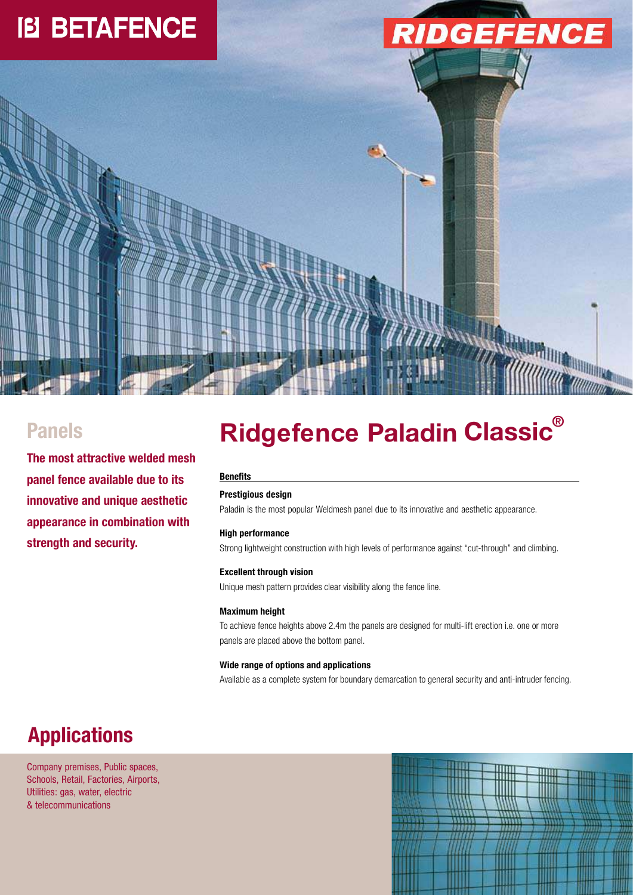## **IB BETAFENCE**





### **Panels**

**The most attractive welded mesh panel fence available due to its innovative and unique aesthetic appearance in combination with strength and security.**

# $R$ **idgefence Paladin Classic**®

### **Benefits**

### **Prestigious design**

Paladin is the most popular Weldmesh panel due to its innovative and aesthetic appearance.

### **High performance**

Strong lightweight construction with high levels of performance against "cut-through" and climbing.

### **Excellent through vision**

Unique mesh pattern provides clear visibility along the fence line.

### **Maximum height**

To achieve fence heights above 2.4m the panels are designed for multi-lift erection i.e. one or more panels are placed above the bottom panel.

### **Wide range of options and applications**

Available as a complete system for boundary demarcation to general security and anti-intruder fencing.

### **Applications**

Company premises, Public spaces, Schools, Retail, Factories, Airports, Utilities: gas, water, electric & telecommunications